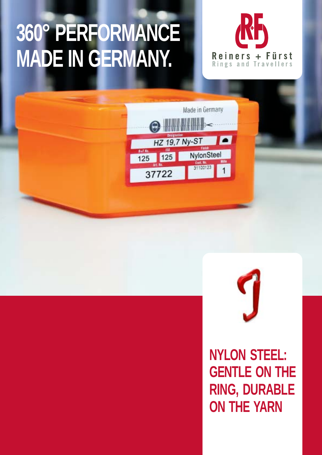## **360° PERFORMANCE MADE IN GERMANY.**







**NYLON STEEL: GENTLE ON THE RING, DURABLE ON THE YARN**